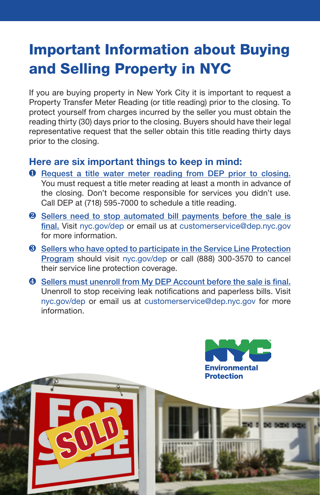## Important Information about Buying and Selling Property in NYC

If you are buying property in New York City it is important to request a Property Transfer Meter Reading (or title reading) prior to the closing. To protect yourself from charges incurred by the seller you must obtain the reading thirty (30) days prior to the closing. Buyers should have their legal representative request that the seller obtain this title reading thirty days prior to the closing.

## Here are six important things to keep in mind:

- **Q** Request a title water meter reading from DEP prior to closing. You must request a title meter reading at least a month in advance of the closing. Don't become responsible for services you didn't use. Call DEP at (718) 595-7000 to schedule a title reading.
- **2** Sellers need to stop automated bill payments before the sale is final. Visit nyc.gov/dep or email us at customerservice@dep.nyc.gov for more information.
- **8** Sellers who have opted to participate in the Service Line Protection Program should visit nyc.gov/dep or call (888) 300-3570 to cancel their service line protection coverage.
- $\bullet$  Sellers must unenroll from My DEP Account before the sale is final. Unenroll to stop receiving leak notifications and paperless bills. Visit nyc.gov/dep or email us at customerservice@dep.nyc.gov for more information.